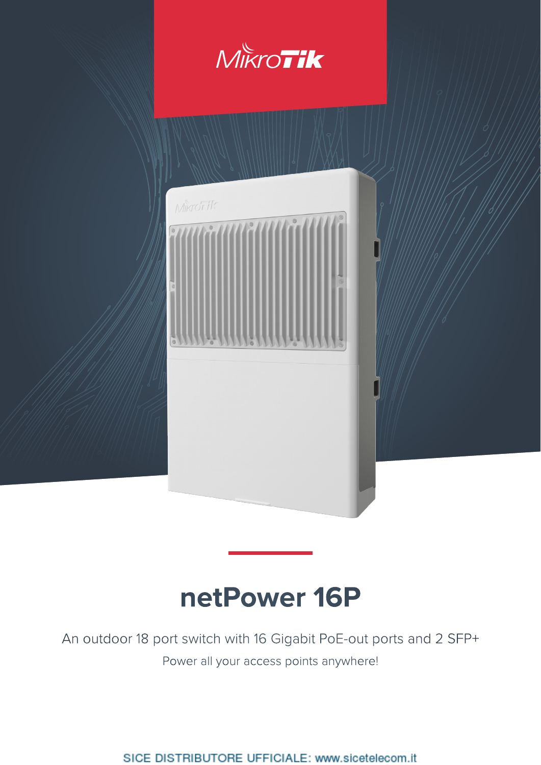

# **netPower 16P**

An outdoor 18 port switch with 16 Gigabit PoE-out ports and 2 SFP+ Power all your access points anywhere!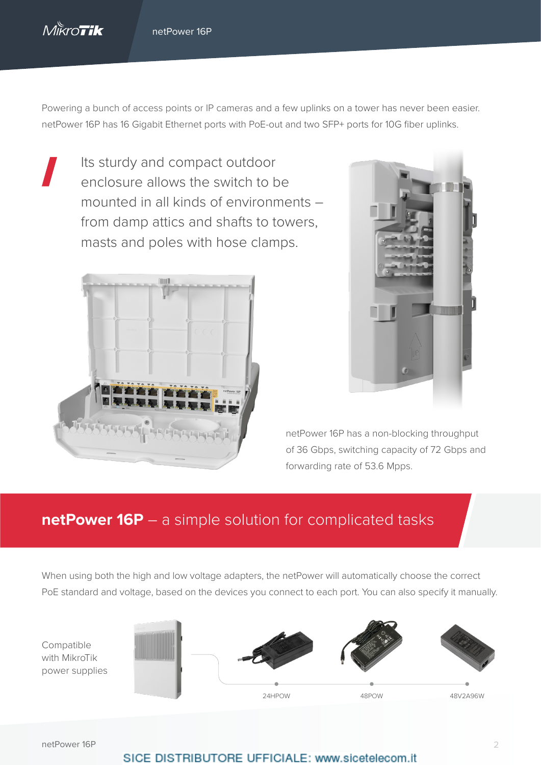

Powering a bunch of access points or IP cameras and a few uplinks on a tower has never been easier. netPower 16P has 16 Gigabit Ethernet ports with PoE-out and two SFP+ ports for 10G fiber uplinks.

Its sturdy and compact outdoor enclosure allows the switch to be mounted in all kinds of environments – from damp attics and shafts to towers, masts and poles with hose clamps.





netPower 16P has a non-blocking throughput of 36 Gbps, switching capacity of 72 Gbps and forwarding rate of 53.6 Mpps.

## **netPower 16P** – a simple solution for complicated tasks

When using both the high and low voltage adapters, the netPower will automatically choose the correct PoE standard and voltage, based on the devices you connect to each port. You can also specify it manually.

Compatible with MikroTik power supplies



netPower 16P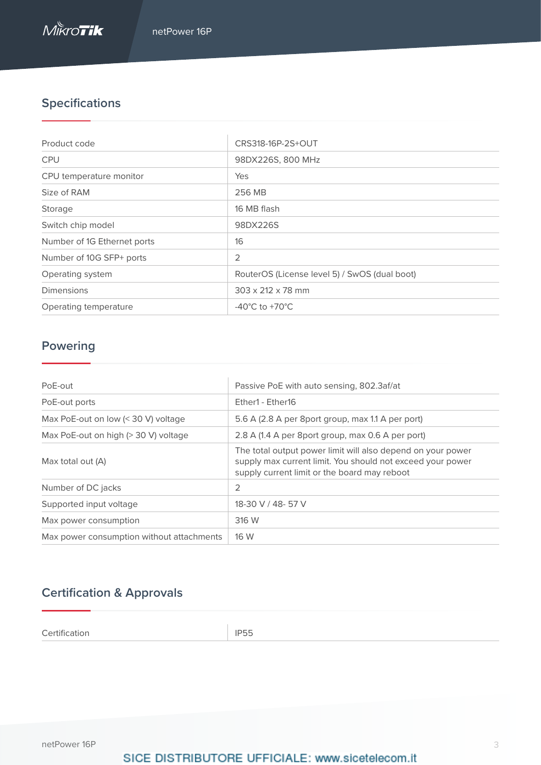## **Specifications**

| Product code                | CRS318-16P-2S+OUT                             |
|-----------------------------|-----------------------------------------------|
| <b>CPU</b>                  | 98DX226S, 800 MHz                             |
| CPU temperature monitor     | Yes                                           |
| Size of RAM                 | 256 MB                                        |
| Storage                     | 16 MB flash                                   |
| Switch chip model           | 98DX226S                                      |
| Number of 1G Ethernet ports | 16                                            |
| Number of 10G SFP+ ports    | 2                                             |
| Operating system            | RouterOS (License level 5) / SwOS (dual boot) |
| Dimensions                  | $303 \times 212 \times 78$ mm                 |
| Operating temperature       | $-40^{\circ}$ C to $+70^{\circ}$ C            |

## **Powering**

| PoE-out                                   | Passive PoE with auto sensing, 802.3af/at                                                                                                                                 |  |  |  |  |
|-------------------------------------------|---------------------------------------------------------------------------------------------------------------------------------------------------------------------------|--|--|--|--|
| PoE-out ports                             | Fther1 - Fther16                                                                                                                                                          |  |  |  |  |
| Max PoE-out on low $(30 V) voltage$       | 5.6 A (2.8 A per 8port group, max 1.1 A per port)                                                                                                                         |  |  |  |  |
| Max PoE-out on high (> 30 V) voltage      | 2.8 A (1.4 A per 8port group, max 0.6 A per port)                                                                                                                         |  |  |  |  |
| Max total out (A)                         | The total output power limit will also depend on your power<br>supply max current limit. You should not exceed your power<br>supply current limit or the board may reboot |  |  |  |  |
| Number of DC jacks                        | 2                                                                                                                                                                         |  |  |  |  |
| Supported input voltage                   | 18-30 V / 48- 57 V                                                                                                                                                        |  |  |  |  |
| Max power consumption                     | 316 W                                                                                                                                                                     |  |  |  |  |
| Max power consumption without attachments | 16 W                                                                                                                                                                      |  |  |  |  |

## **Certification & Approvals**

Certification **IP55**